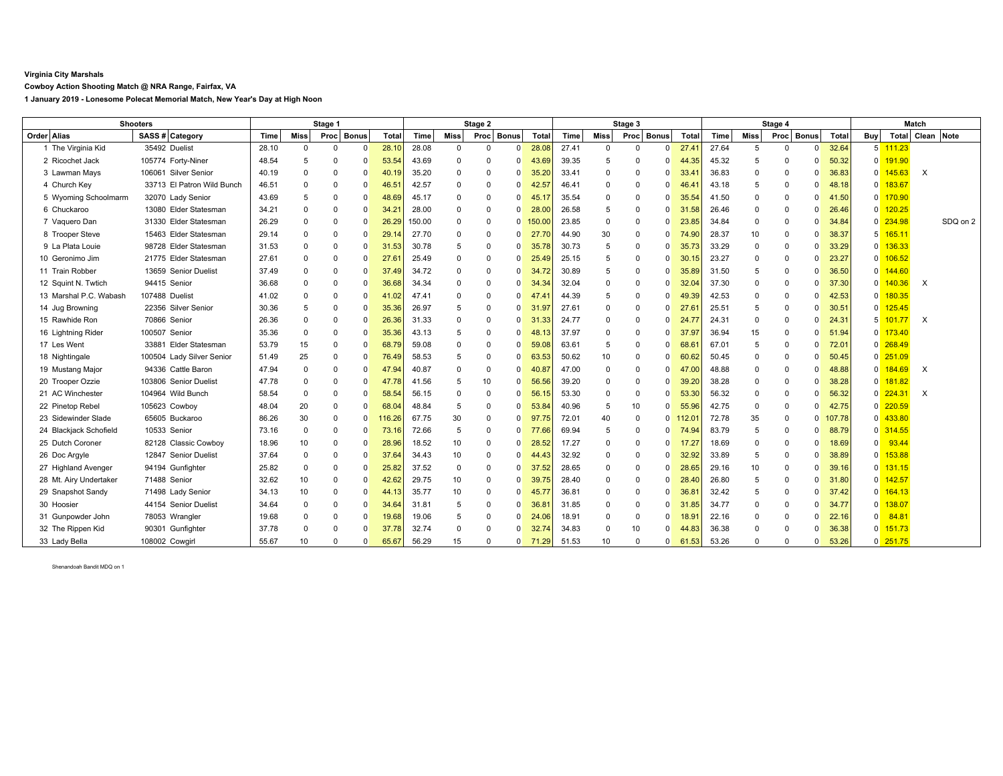## **Virginia City Marshals**

**Cowboy Action Shooting Match @ NRA Range, Fairfax, VA**

**1 January 2019 - Lonesome Polecat Memorial Match, New Year's Day at High Noon**

| <b>Shooters</b>        |                            | Stage 1 |             |            |          | Stage 2        |        |             |             | Stage 3  |        |       |             | Stage 4    |              |                |       | Match       |            |          |        |                |                       |                  |          |
|------------------------|----------------------------|---------|-------------|------------|----------|----------------|--------|-------------|-------------|----------|--------|-------|-------------|------------|--------------|----------------|-------|-------------|------------|----------|--------|----------------|-----------------------|------------------|----------|
| Order Alias            | SASS # Category            | Time    | <b>Miss</b> | Proc Bonus |          | Total          | Time   | <b>Miss</b> | Proc Bonus  |          | Total  | Time  | <b>Miss</b> | Proc Bonus |              | Total          | Time  | <b>Miss</b> | Proc Bonus |          | Total  | <b>Buy</b>     |                       | Total Clean Note |          |
| 1 The Virginia Kid     | 35492 Duelist              | 28.10   | $\Omega$    | $\Omega$   | $\Omega$ | 28.10          | 28.08  | 0           | $\Omega$    | $\Omega$ | 28.08  | 27.41 | $\Omega$    | O          | $\Omega$     | 27.41          | 27.64 | 5           | $\Omega$   | $\Omega$ | 32.64  |                | $5\overline{111.23}$  |                  |          |
| 2 Ricochet Jack        | 105774 Forty-Niner         | 48.54   | 5           | $\Omega$   | -0       | 53.54          | 43.69  | $\Omega$    | $\Omega$    | $\Omega$ | 43.69  | 39.35 | 5           | 0          | <sup>0</sup> | 44.35          | 45.32 | 5           | $\Omega$   | 0        | 50.32  | $\overline{0}$ | 191.90                |                  |          |
| 3 Lawman Mays          | 106061 Silver Senior       | 40.19   | $\Omega$    | $\Omega$   | $\Omega$ | 40.19          | 35.20  | $\Omega$    | $\Omega$    | $\Omega$ | 35.20  | 33.41 | $\Omega$    | 0          | <sup>0</sup> | 33.4'          | 36.83 | $\Omega$    | $\Omega$   | 0        | 36.83  | $\Omega$       | 145.63                | X                |          |
| 4 Church Key           | 33713 El Patron Wild Bunch | 46.51   | $\Omega$    | $\Omega$   | $\Omega$ | 46.5           | 42.57  | $\mathbf 0$ | $\mathbf 0$ | $\Omega$ | 42.57  | 46.41 | $\Omega$    | 0          | <sup>0</sup> | 46.41          | 43.18 | 5           | $\Omega$   | $\Omega$ | 48.18  | $\mathbf 0$    | 183.67                |                  |          |
| 5 Wyoming Schoolmarm   | 32070 Lady Senior          | 43.69   | 5           | $\Omega$   | -0       | 48.69          | 45.17  | $\Omega$    | $\Omega$    | 0        | 45.1   | 35.54 | $\Omega$    | 0          | <sup>0</sup> | 35.54          | 41.50 | $\Omega$    | $\Omega$   |          | 41.50  | $\mathbf 0$    | 170.90                |                  |          |
| 6 Chuckaroo            | 13080 Elder Statesman      | 34.21   | $\Omega$    | $\Omega$   | $\Omega$ | $34.2^{\circ}$ | 28.00  | 0           | $\Omega$    | U        | 28.00  | 26.58 | 5           | 0          |              | .58<br>31      | 26.46 | $\Omega$    | $\Omega$   |          | 26.46  | $\Omega$       | 120.25                |                  |          |
| 7 Vaquero Dan          | 31330 Elder Statesman      | 26.29   | $\Omega$    | $\Omega$   | $\Omega$ | 26.29          | 150.00 | $\Omega$    | $\mathbf 0$ | 0        | 150.00 | 23.85 | $\Omega$    | 0          | <sup>0</sup> | 23.85          | 34.84 | $\Omega$    | $\Omega$   |          | 34.84  | $\mathbf 0$    | 234.98                |                  | SDQ on 2 |
| 8 Trooper Steve        | 15463 Elder Statesman      | 29.14   | $\Omega$    | $\Omega$   | 0        | 29.7           | 27.70  | $\Omega$    | $\Omega$    | 0        | 27.7   | 44.90 | 30          | 0          | <sup>0</sup> | 74.90          | 28.37 | 10          | $\Omega$   |          | 38.37  | 5              | 165.11                |                  |          |
| 9 La Plata Louie       | 98728 Elder Statesman      | 31.53   | $\Omega$    | $\Omega$   | 0        | 31.53          | 30.78  | 5           | $\Omega$    | O        | 35.7   | 30.73 | 5           | 0          | <sup>0</sup> | 35.73          | 33.29 | $\Omega$    | $\Omega$   |          | 33.29  | $\overline{0}$ | 136.33                |                  |          |
| 10 Geronimo Jim        | 21775 Elder Statesman      | 27.61   | $\Omega$    | $\Omega$   | $\Omega$ | 27.6'          | 25.49  | 0           | $\mathbf 0$ | $\Omega$ | 25.49  | 25.15 | 5           | 0          | <sup>0</sup> | 30.15          | 23.27 | $\Omega$    | $\Omega$   |          | 23.27  | $\overline{0}$ | 106.52                |                  |          |
| 11 Train Robber        | 13659 Senior Duelist       | 37.49   | $\Omega$    | $\Omega$   | $\Omega$ | 37.49          | 34.72  | $\Omega$    | $\Omega$    | $\Omega$ | 34.    | 30.89 | 5           | 0          | $\Omega$     | 35.89          | 31.50 | 5           | $\Omega$   |          | 36.50  | $\Omega$       | 144.60                |                  |          |
| 12 Squint N. Twtich    | 94415 Senior               | 36.68   | $\Omega$    | $\Omega$   | $\Omega$ | 36.68          | 34.34  | 0           | $\Omega$    | $\Omega$ | 34.34  | 32.04 | $\Omega$    | 0          | <sup>0</sup> | 32.04          | 37.30 | $\Omega$    | $\Omega$   |          | 37.30  | $\mathbf 0$    | 140.36                | X                |          |
| 13 Marshal P.C. Wabash | 107488 Duelist             | 41.02   | 0           | $\Omega$   | $\Omega$ | 41.02          | 47.41  | $\Omega$    | $\Omega$    | O        | 47.4   | 44.39 | 5           | 0          |              | 49.39          | 42.53 | $\Omega$    | $\Omega$   |          | 42.53  | $\mathbf 0$    | 180.35                |                  |          |
| 14 Jug Browning        | 22356 Silver Senior        | 30.36   | 5           | $\Omega$   | $\Omega$ | 35.36          | 26.97  | 5           | $\Omega$    | $\Omega$ | 31.9   | 27.61 | $\Omega$    | 0          | <sup>0</sup> | $27.6^{\circ}$ | 25.51 | 5           | $\Omega$   |          | 30.51  | $\Omega$       | 125.45                |                  |          |
| 15 Rawhide Ron         | 70866 Senior               | 26.36   | $\Omega$    | $\Omega$   | $\Omega$ | 26.36          | 31.33  | $\Omega$    | $\mathbf 0$ | O        | 31.33  | 24.77 | $\Omega$    | 0          | n            | 24.77          | 24.31 | $\Omega$    | $\Omega$   |          | 24.31  | 5              | 101.77                | $\times$         |          |
| 16 Lightning Rider     | 100507 Senior              | 35.36   | $\Omega$    | $\Omega$   | -0       | 35.36          | 43.13  | 5           | $\Omega$    | 0        | 48.    | 37.97 | $\Omega$    | 0          | $\Omega$     | 37.97          | 36.94 | 15          | $\Omega$   | ŋ        | 51.94  |                | $0$ 173.40            |                  |          |
| 17 Les Went            | 33881 Elder Statesman      | 53.79   | 15          | $\Omega$   | 0        | 68.79          | 59.08  | $\Omega$    | $\Omega$    | $\Omega$ | 59.08  | 63.61 | -5          | 0          | $\Omega$     | $68.6^{\circ}$ | 67.01 | 5           | $\Omega$   |          | 72.01  |                | $0$ 268.49            |                  |          |
| 18 Nightingale         | 100504 Lady Silver Senior  | 51.49   | 25          | $\Omega$   | -0       | 76.49          | 58.53  | 5           | $\Omega$    | $\Omega$ | 63.53  | 50.62 | 10          | 0          | $\Omega$     | 60.62          | 50.45 | $\Omega$    | $\Omega$   |          | 50.45  |                | $0$ 251.09            |                  |          |
| 19 Mustang Major       | 94336 Cattle Baron         | 47.94   | $\Omega$    | $\Omega$   | $\Omega$ | 47.94          | 40.87  | $\Omega$    | $\mathbf 0$ | $\Omega$ | 40.8   | 47.00 | $\Omega$    | 0          | $\Omega$     | .00<br>47      | 48.88 | $\Omega$    | $\Omega$   |          | 48.88  | $\mathbf 0$    | 184.69                | Х                |          |
| 20 Trooper Ozzie       | 103806 Senior Duelist      | 47.78   | $\Omega$    | $\Omega$   | $\Omega$ |                | 41.56  | 5           | 10          | $\Omega$ | 56.56  | 39.20 | $\Omega$    | 0          | n            | 39.20          | 38.28 | $\Omega$    | $\Omega$   | ŋ        | 38.28  |                | $0$ 181.82            |                  |          |
| 21 AC Winchester       | 104964 Wild Bunch          | 58.54   | $\mathbf 0$ | 0          | 0        | 58.54          | 56.15  | 0           | $\mathbf 0$ | $\Omega$ | 56.1   | 53.30 | $\Omega$    | 0          | <sup>0</sup> | 53.30          | 56.32 | $\Omega$    | $\Omega$   |          | 56.32  | $\Omega$       | 224.31                | $\times$         |          |
| 22 Pinetop Rebel       | 105623 Cowboy              | 48.04   | 20          | $\Omega$   | 0        | 68.0           | 48.84  | 5           | $\Omega$    | 0        | 53.84  | 40.96 | -5          | 10         | $\Omega$     | 55.96          | 42.75 | $\Omega$    | $\Omega$   |          | 42.75  | $\Omega$       | 220.59                |                  |          |
| 23 Sidewinder Slade    | 65605 Buckaroo             | 86.26   | 30          | $\Omega$   | $\Omega$ | 116.26         | 67.75  | 30          | $\Omega$    | 0        | 97.    | 72.01 | 40          | 0          | $\Omega$     |                | 72.78 | 35          | $\Omega$   | 0        | 107.78 | $\Omega$       | 433.80                |                  |          |
| 24 Blackjack Schofield | 10533 Senior               | 73.16   | $\Omega$    | $\Omega$   | 0        | 73.1           | 72.66  | 5           | $\Omega$    | $\Omega$ | 77.66  | 69.94 | -5          | 0          | $\Omega$     | 74.94          | 83.79 | 5           | $\Omega$   | 0        | 88.79  |                | 0 314.55              |                  |          |
| 25 Dutch Coroner       | 82128 Classic Cowboy       | 18.96   | 10          | $\Omega$   | $\Omega$ | 28.96          | 18.52  | 10          | $\Omega$    | U        | 28.52  | 17.27 | $\Omega$    | 0          | <sup>0</sup> | 17.27          | 18.69 | $\Omega$    | $\Omega$   |          | 18.69  | $\overline{0}$ | 93.44                 |                  |          |
| 26 Doc Argyle          | 12847 Senior Duelist       | 37.64   | $\Omega$    | $\Omega$   | $\Omega$ | 37.64          | 34.43  | 10          | $\Omega$    | $\Omega$ | 44.43  | 32.92 | $\Omega$    | 0          | <sup>0</sup> | 32.92          | 33.89 | 5           | $\Omega$   |          | 38.89  | $\overline{0}$ | 153.88                |                  |          |
| 27 Highland Avenger    | 94194 Gunfighter           | 25.82   | $\mathbf 0$ | $\Omega$   | $\Omega$ | 25.82          | 37.52  | $\mathbf 0$ | $\mathbf 0$ | $\Omega$ | 37.52  | 28.65 | $\Omega$    | 0          | <sup>0</sup> | 28.65          | 29.16 | 10          | $\Omega$   |          | 39.16  | $\overline{0}$ | 131.15                |                  |          |
| 28 Mt. Airy Undertaker | 71488 Senior               | 32.62   | 10          | $\Omega$   | -0       | 42.62          | 29.75  | 10          | $\Omega$    | $\Omega$ | 39.75  | 28.40 | $\Omega$    | 0          | n            | 28.40          | 26.80 | 5           | $\Omega$   | 0        | 31.80  |                | $0\overline{142.57}$  |                  |          |
| 29 Snapshot Sandy      | 71498 Lady Senior          | 34.13   | 10          | $\Omega$   | -0       | 44.13          | 35.77  | 10          | $\Omega$    | $\Omega$ | 45.7   | 36.81 | $\Omega$    | 0          | <sup>0</sup> | $36.8^{\circ}$ | 32.42 | 5           | $\Omega$   |          | 37.42  |                | $0 \overline{164.13}$ |                  |          |
| 30 Hoosier             | 44154 Senior Duelist       | 34.64   | $\Omega$    | $\Omega$   | 0        | 34.64          | 31.81  | 5           | $\Omega$    | $\Omega$ | 36.8   | 31.85 | $\Omega$    | 0          | $\Omega$     | 31.85          | 34.77 | $\Omega$    | $\Omega$   |          | 34.77  | $\Omega$       | 138.07                |                  |          |
| 31 Gunpowder John      | 78053 Wrangler             | 19.68   | $\Omega$    | $\Omega$   | $\Omega$ | 19.68          | 19.06  | 5           | $\Omega$    | $\Omega$ | 24.06  | 18.91 | $\Omega$    | 0          | <sup>0</sup> | $18.9^{\circ}$ | 22.16 | $\Omega$    | $\Omega$   |          | 22.16  | $\overline{0}$ | $84.8^{\circ}$        |                  |          |
| 32 The Rippen Kid      | 90301 Gunfighter           | 37.78   | $\Omega$    | $\Omega$   | n        | 37.78          | 32.74  | $\Omega$    | $\Omega$    | $\Omega$ | 32.74  | 34.83 | $\Omega$    | 10         | n            | 44.83          | 36.38 | $\Omega$    |            |          | 36.38  |                | $0$ 151.73            |                  |          |
| 33 Lady Bella          | 108002 Cowgirl             | 55.67   | 10          | $\Omega$   | $\Omega$ | 65.67          | 56.29  | 15          | $\Omega$    | $\Omega$ | 71.29  | 51.53 | 10          | O          | $\Omega$     | 61.53          | 53.26 | $\Omega$    | $\Omega$   | 0        | 53.26  |                | $0\overline{251.75}$  |                  |          |

Shenandoah Bandit MDQ on 1